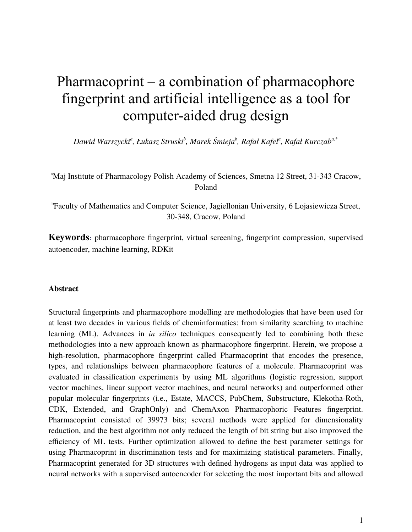# Pharmacoprint – a combination of pharmacophore fingerprint and artificial intelligence as a tool for computer-aided drug design

*Dawid Warszycki<sup>a</sup> , Łukasz Struski<sup>b</sup> , Marek Śmieja<sup>b</sup> , Rafał Kafel<sup>a</sup> , Rafał Kurczaba,\**

<sup>a</sup>Maj Institute of Pharmacology Polish Academy of Sciences, Smetna 12 Street, 31-343 Cracow, Poland

b Faculty of Mathematics and Computer Science, Jagiellonian University, 6 Lojasiewicza Street, 30-348, Cracow, Poland

**Keywords**: pharmacophore fingerprint, virtual screening, fingerprint compression, supervised autoencoder, machine learning, RDKit

## **Abstract**

Structural fingerprints and pharmacophore modelling are methodologies that have been used for at least two decades in various fields of cheminformatics: from similarity searching to machine learning (ML). Advances in *in silico* techniques consequently led to combining both these methodologies into a new approach known as pharmacophore fingerprint. Herein, we propose a high-resolution, pharmacophore fingerprint called Pharmacoprint that encodes the presence, types, and relationships between pharmacophore features of a molecule. Pharmacoprint was evaluated in classification experiments by using ML algorithms (logistic regression, support vector machines, linear support vector machines, and neural networks) and outperformed other popular molecular fingerprints (i.e., Estate, MACCS, PubChem, Substructure, Klekotha-Roth, CDK, Extended, and GraphOnly) and ChemAxon Pharmacophoric Features fingerprint. Pharmacoprint consisted of 39973 bits; several methods were applied for dimensionality reduction, and the best algorithm not only reduced the length of bit string but also improved the efficiency of ML tests. Further optimization allowed to define the best parameter settings for using Pharmacoprint in discrimination tests and for maximizing statistical parameters. Finally, Pharmacoprint generated for 3D structures with defined hydrogens as input data was applied to neural networks with a supervised autoencoder for selecting the most important bits and allowed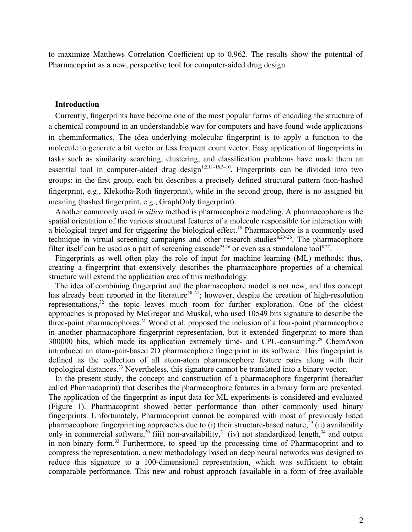to maximize Matthews Correlation Coefficient up to 0.962. The results show the potential of Pharmacoprint as a new, perspective tool for computer-aided drug design.

#### **Introduction**

Currently, fingerprints have become one of the most popular forms of encoding the structure of a chemical compound in an understandable way for computers and have found wide applications in cheminformatics. The idea underlying molecular fingerprint is to apply a function to the molecule to generate a bit vector or less frequent count vector. Easy application of fingerprints in tasks such as similarity searching, clustering, and classification problems have made them an essential tool in computer-aided drug design<sup>1,2,11–18,3–10</sup>. Fingerprints can be divided into two groups: in the first group, each bit describes a precisely defined structural pattern (non-hashed fingerprint, e.g., Klekotha-Roth fingerprint), while in the second group, there is no assigned bit meaning (hashed fingerprint, e.g., GraphOnly fingerprint).

Another commonly used *in silico* method is pharmacophore modeling. A pharmacophore is the spatial orientation of the various structural features of a molecule responsible for interaction with a biological target and for triggering the biological effect.19 Pharmacophore is a commonly used technique in virtual screening campaigns and other research studies $8,20-26$ . The pharmacophore filter itself can be used as a part of screening cascade<sup>25,26</sup> or even as a standalone tool<sup>8,27</sup>.

Fingerprints as well often play the role of input for machine learning (ML) methods; thus, creating a fingerprint that extensively describes the pharmacophore properties of a chemical structure will extend the application area of this methodology.

The idea of combining fingerprint and the pharmacophore model is not new, and this concept has already been reported in the literature<sup>28–31</sup>; however, despite the creation of high-resolution representations,<sup>32</sup> the topic leaves much room for further exploration. One of the oldest approaches is proposed by McGregor and Muskal, who used 10549 bits signature to describe the three-point pharmacophores.<sup>31</sup> Wood et al. proposed the inclusion of a four-point pharmacophore in another pharmacophore fingerprint representation, but it extended fingerprint to more than 300000 bits, which made its application extremely time- and CPU-consuming.<sup>29</sup> ChemAxon introduced an atom-pair-based 2D pharmacophore fingerprint in its software. This fingerprint is defined as the collection of all atom-atom pharmacophore feature pairs along with their topological distances.<sup>33</sup> Nevertheless, this signature cannot be translated into a binary vector.

In the present study, the concept and construction of a pharmacophore fingerprint (hereafter called Pharmacoprint) that describes the pharmacophore features in a binary form are presented. The application of the fingerprint as input data for ML experiments is considered and evaluated (Figure 1). Pharmacoprint showed better performance than other commonly used binary fingerprints. Unfortunately, Pharmacoprint cannot be compared with most of previously listed pharmacophore fingerprinting approaches due to (i) their structure-based nature,  $^{29}$  (ii) availability only in commercial software,<sup>30</sup> (iii) non-availability,<sup>31</sup> (iv) not standardized length,<sup>34</sup> and output in non-binary form.33 Furthermore, to speed up the processing time of Pharmacoprint and to compress the representation, a new methodology based on deep neural networks was designed to reduce this signature to a 100-dimensional representation, which was sufficient to obtain comparable performance. This new and robust approach (available in a form of free-available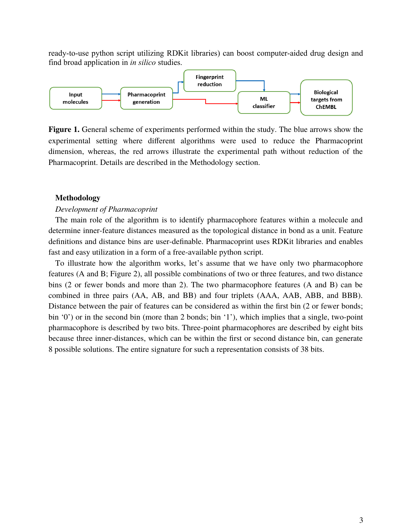ready-to-use python script utilizing RDKit libraries) can boost computer-aided drug design and find broad application in *in silico* studies.



**Figure 1.** General scheme of experiments performed within the study. The blue arrows show the experimental setting where different algorithms were used to reduce the Pharmacoprint dimension, whereas, the red arrows illustrate the experimental path without reduction of the Pharmacoprint. Details are described in the Methodology section.

#### **Methodology**

#### *Development of Pharmacoprint*

The main role of the algorithm is to identify pharmacophore features within a molecule and determine inner-feature distances measured as the topological distance in bond as a unit. Feature definitions and distance bins are user-definable. Pharmacoprint uses RDKit libraries and enables fast and easy utilization in a form of a free-available python script.

To illustrate how the algorithm works, let's assume that we have only two pharmacophore features (A and B; Figure 2), all possible combinations of two or three features, and two distance bins (2 or fewer bonds and more than 2). The two pharmacophore features (A and B) can be combined in three pairs (AA, AB, and BB) and four triplets (AAA, AAB, ABB, and BBB). Distance between the pair of features can be considered as within the first bin (2 or fewer bonds; bin '0') or in the second bin (more than 2 bonds; bin '1'), which implies that a single, two-point pharmacophore is described by two bits. Three-point pharmacophores are described by eight bits because three inner-distances, which can be within the first or second distance bin, can generate 8 possible solutions. The entire signature for such a representation consists of 38 bits.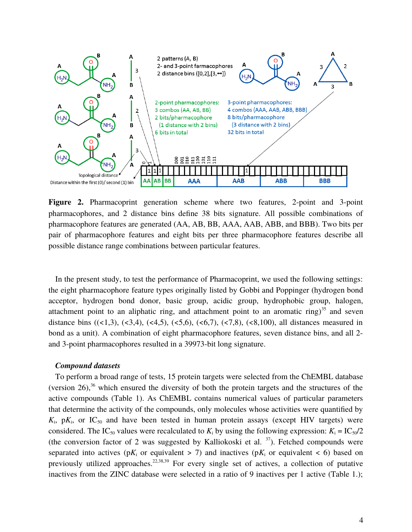

**Figure 2.** Pharmacoprint generation scheme where two features, 2-point and 3-point pharmacophores, and 2 distance bins define 38 bits signature. All possible combinations of pharmacophore features are generated (AA, AB, BB, AAA, AAB, ABB, and BBB). Two bits per pair of pharmacophore features and eight bits per three pharmacophore features describe all possible distance range combinations between particular features.

In the present study, to test the performance of Pharmacoprint, we used the following settings: the eight pharmacophore feature types originally listed by Gobbi and Poppinger (hydrogen bond acceptor, hydrogen bond donor, basic group, acidic group, hydrophobic group, halogen, attachment point to an aliphatic ring, and attachment point to an aromatic ring) $35$  and seven distance bins  $((\langle 1,3), (\langle 3,4), (\langle 4,5), (\langle 5,6), (\langle 6,7), (\langle 7,8), (\langle 8,100), \rangle)$  all distances measured in bond as a unit). A combination of eight pharmacophore features, seven distance bins, and all 2 and 3-point pharmacophores resulted in a 39973-bit long signature.

## *Compound datasets*

To perform a broad range of tests, 15 protein targets were selected from the ChEMBL database (version 26), $36$  which ensured the diversity of both the protein targets and the structures of the active compounds (Table 1). As ChEMBL contains numerical values of particular parameters that determine the activity of the compounds, only molecules whose activities were quantified by  $K_i$ , p $K_i$ , or IC<sub>50</sub> and have been tested in human protein assays (except HIV targets) were considered. The IC<sub>50</sub> values were recalculated to  $K_i$  by using the following expression:  $K_i = IC_{50}/2$ (the conversion factor of 2 was suggested by Kalliokoski et al.  $37$ ). Fetched compounds were separated into actives ( $pK_i$  or equivalent > 7) and inactives ( $pK_i$  or equivalent < 6) based on previously utilized approaches.<sup>22,38,39</sup> For every single set of actives, a collection of putative inactives from the ZINC database were selected in a ratio of 9 inactives per 1 active (Table 1.);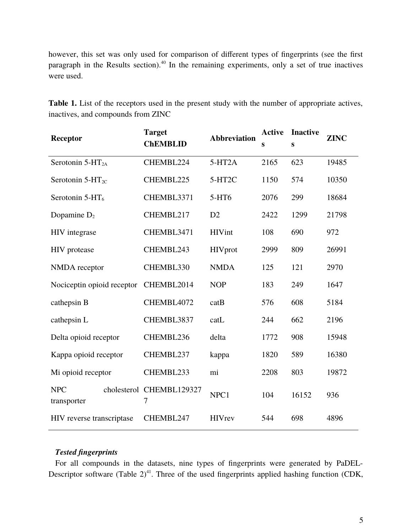however, this set was only used for comparison of different types of fingerprints (see the first paragraph in the Results section).<sup>40</sup> In the remaining experiments, only a set of true inactives were used.

| Receptor                   | <b>Target</b><br><b>ChEMBLID</b> | <b>Abbreviation</b>  | <b>Active</b><br>S | <b>Inactive</b><br>S | <b>ZINC</b> |
|----------------------------|----------------------------------|----------------------|--------------------|----------------------|-------------|
| Serotonin $5-HT_{2A}$      | CHEMBL224                        | $5-HT2A$             | 2165               | 623                  | 19485       |
| Serotonin $5-HT_{2C}$      | CHEMBL225                        | $5-HT2C$             | 1150               | 574                  | 10350       |
| Serotonin $5-HT_6$         | CHEMBL3371                       | 5-HT6                | 2076               | 299                  | 18684       |
| Dopamine $D_2$             | CHEMBL217                        | D2                   | 2422               | 1299                 | 21798       |
| <b>HIV</b> integrase       | CHEMBL3471                       | <b>HIVint</b><br>108 |                    | 690                  | 972         |
| <b>HIV</b> protease        | CHEMBL243                        | <b>HIV</b> prot      | 2999               | 809                  | 26991       |
| NMDA receptor              | CHEMBL330                        | <b>NMDA</b>          | 125                | 121                  | 2970        |
| Nociceptin opioid receptor | CHEMBL2014                       | <b>NOP</b>           | 183                | 249                  | 1647        |
| cathepsin B                | CHEMBL4072                       | catB                 | 576                | 608                  | 5184        |
| cathepsin L                | CHEMBL3837                       | catL                 | 244                | 662                  | 2196        |
| Delta opioid receptor      | CHEMBL236                        | delta                | 1772               | 908                  | 15948       |
| Kappa opioid receptor      | CHEMBL237                        | kappa                | 1820               | 589                  | 16380       |
| Mi opioid receptor         | CHEMBL233                        | mi                   | 2208               | 803                  | 19872       |
| <b>NPC</b><br>transporter  | cholesterol CHEMBL129327<br>7    | NPC1                 | 104                | 16152                | 936         |
| HIV reverse transcriptase  | CHEMBL247                        | <b>HIVrey</b>        | 544                | 698                  | 4896        |

**Table 1.** List of the receptors used in the present study with the number of appropriate actives, inactives, and compounds from ZINC

# *Tested fingerprints*

For all compounds in the datasets, nine types of fingerprints were generated by PaDEL-Descriptor software (Table  $2)^{41}$ . Three of the used fingerprints applied hashing function (CDK,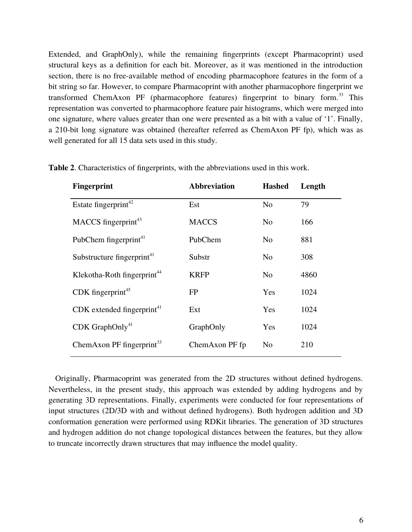Extended, and GraphOnly), while the remaining fingerprints (except Pharmacoprint) used structural keys as a definition for each bit. Moreover, as it was mentioned in the introduction section, there is no free-available method of encoding pharmacophore features in the form of a bit string so far. However, to compare Pharmacoprint with another pharmacophore fingerprint we transformed ChemAxon PF (pharmacophore features) fingerprint to binary form.<sup>33</sup> This representation was converted to pharmacophore feature pair histograms, which were merged into one signature, where values greater than one were presented as a bit with a value of '1'. Finally, a 210-bit long signature was obtained (hereafter referred as ChemAxon PF fp), which was as well generated for all 15 data sets used in this study.

| <b>Fingerprint</b>                       | <b>Abbreviation</b> | <b>Hashed</b>  | Length |
|------------------------------------------|---------------------|----------------|--------|
| Estate fingerprint <sup>42</sup>         | Est                 | N <sub>o</sub> | 79     |
| $MACCS$ fingerprint <sup>43</sup>        | <b>MACCS</b>        | No.            | 166    |
| PubChem fingerprint <sup>41</sup>        | PubChem             | N <sub>o</sub> | 881    |
| Substructure fingerprint <sup>41</sup>   | Substr              | N <sub>o</sub> | 308    |
| Klekotha-Roth fingerprint <sup>44</sup>  | <b>KRFP</b>         | N <sub>o</sub> | 4860   |
| CDK fingerprint <sup>45</sup>            | <b>FP</b>           | Yes            | 1024   |
| $CDK$ extended fingerprint <sup>41</sup> | Ext                 | Yes            | 1024   |
| $CDK$ GraphOnly <sup>41</sup>            | GraphOnly           | Yes            | 1024   |
| ChemAxon PF fingerprint $33$             | ChemAxon PF fp      | No             | 210    |
|                                          |                     |                |        |

**Table 2**. Characteristics of fingerprints, with the abbreviations used in this work.

Originally, Pharmacoprint was generated from the 2D structures without defined hydrogens. Nevertheless, in the present study, this approach was extended by adding hydrogens and by generating 3D representations. Finally, experiments were conducted for four representations of input structures (2D/3D with and without defined hydrogens). Both hydrogen addition and 3D conformation generation were performed using RDKit libraries. The generation of 3D structures and hydrogen addition do not change topological distances between the features, but they allow to truncate incorrectly drawn structures that may influence the model quality.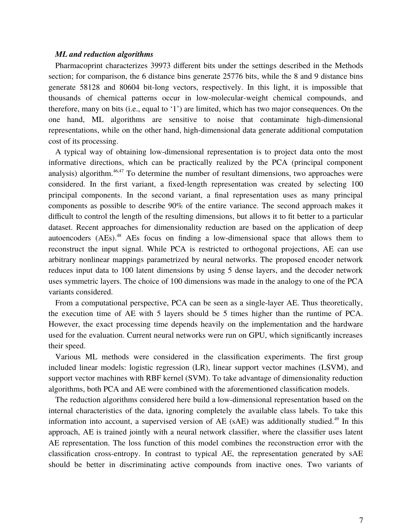#### *ML and reduction algorithms*

Pharmacoprint characterizes 39973 different bits under the settings described in the Methods section; for comparison, the 6 distance bins generate 25776 bits, while the 8 and 9 distance bins generate 58128 and 80604 bit-long vectors, respectively. In this light, it is impossible that thousands of chemical patterns occur in low-molecular-weight chemical compounds, and therefore, many on bits (i.e., equal to '1') are limited, which has two major consequences. On the one hand, ML algorithms are sensitive to noise that contaminate high-dimensional representations, while on the other hand, high-dimensional data generate additional computation cost of its processing.

A typical way of obtaining low-dimensional representation is to project data onto the most informative directions, which can be practically realized by the PCA (principal component analysis) algorithm. $46,47$  To determine the number of resultant dimensions, two approaches were considered. In the first variant, a fixed-length representation was created by selecting 100 principal components. In the second variant, a final representation uses as many principal components as possible to describe 90% of the entire variance. The second approach makes it difficult to control the length of the resulting dimensions, but allows it to fit better to a particular dataset. Recent approaches for dimensionality reduction are based on the application of deep autoencoders (AEs).<sup>48</sup> AEs focus on finding a low-dimensional space that allows them to reconstruct the input signal. While PCA is restricted to orthogonal projections, AE can use arbitrary nonlinear mappings parametrized by neural networks. The proposed encoder network reduces input data to 100 latent dimensions by using 5 dense layers, and the decoder network uses symmetric layers. The choice of 100 dimensions was made in the analogy to one of the PCA variants considered.

From a computational perspective, PCA can be seen as a single-layer AE. Thus theoretically, the execution time of AE with 5 layers should be 5 times higher than the runtime of PCA. However, the exact processing time depends heavily on the implementation and the hardware used for the evaluation. Current neural networks were run on GPU, which significantly increases their speed.

Various ML methods were considered in the classification experiments. The first group included linear models: logistic regression (LR), linear support vector machines (LSVM), and support vector machines with RBF kernel (SVM). To take advantage of dimensionality reduction algorithms, both PCA and AE were combined with the aforementioned classification models.

The reduction algorithms considered here build a low-dimensional representation based on the internal characteristics of the data, ignoring completely the available class labels. To take this information into account, a supervised version of AE (sAE) was additionally studied.<sup>49</sup> In this approach, AE is trained jointly with a neural network classifier, where the classifier uses latent AE representation. The loss function of this model combines the reconstruction error with the classification cross-entropy. In contrast to typical AE, the representation generated by sAE should be better in discriminating active compounds from inactive ones. Two variants of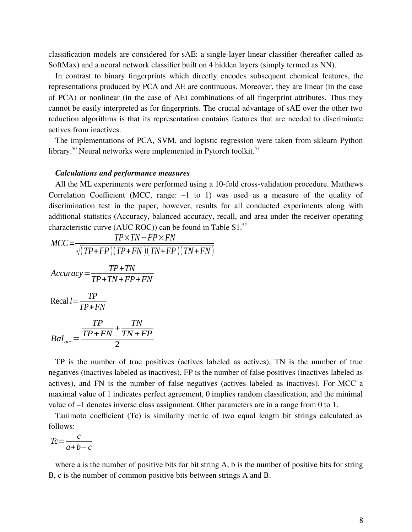classification models are considered for sAE: a single-layer linear classifier (hereafter called as SoftMax) and a neural network classifier built on 4 hidden layers (simply termed as NN).

In contrast to binary fingerprints which directly encodes subsequent chemical features, the representations produced by PCA and AE are continuous. Moreover, they are linear (in the case of PCA) or nonlinear (in the case of AE) combinations of all fingerprint attributes. Thus they cannot be easily interpreted as for fingerprints. The crucial advantage of sAE over the other two reduction algorithms is that its representation contains features that are needed to discriminate actives from inactives.

The implementations of PCA, SVM, and logistic regression were taken from sklearn Python library.<sup>50</sup> Neural networks were implemented in Pytorch toolkit.<sup>51</sup>

#### *Calculations and performance measures*

All the ML experiments were performed using a 10-fold cross-validation procedure. Matthews Correlation Coefficient (MCC, range:  $-1$  to 1) was used as a measure of the quality of discrimination test in the paper, however, results for all conducted experiments along with additional statistics (Accuracy, balanced accuracy, recall, and area under the receiver operating characteristic curve (AUC ROC)) can be found in Table  $S1$ .<sup>52</sup>

$$
MCC = \frac{TP \times TN - FP \times FN}{\sqrt{(TP + FP)(TP + FN)(TN + FP)(TN + FN)}}
$$
  
Accuracy = 
$$
\frac{TP + TN}{TP + TN + FP + FN}
$$
  
Recal  $l = \frac{TP}{TP + FN}$   
Bad <sub>acc</sub> = 
$$
\frac{TP}{TP + FN} + \frac{TN}{TN + FP}
$$

2

TP is the number of true positives (actives labeled as actives), TN is the number of true negatives (inactives labeled as inactives), FP is the number of false positives (inactives labeled as actives), and FN is the number of false negatives (actives labeled as inactives). For MCC a maximal value of 1 indicates perfect agreement, 0 implies random classification, and the minimal value of –1 denotes inverse class assignment. Other parameters are in a range from 0 to 1.

Tanimoto coefficient (Tc) is similarity metric of two equal length bit strings calculated as follows:

$$
Tc = \frac{c}{a+b-c}
$$

where a is the number of positive bits for bit string A, b is the number of positive bits for string B, c is the number of common positive bits between strings A and B.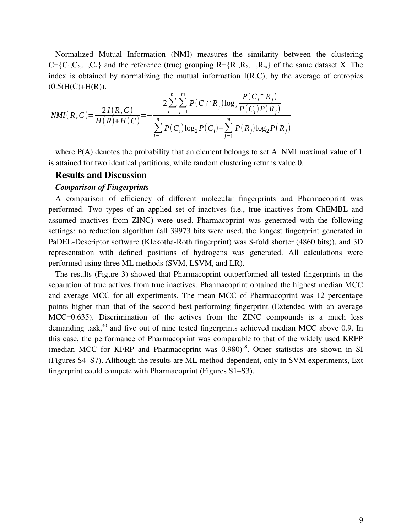Normalized Mutual Information (NMI) measures the similarity between the clustering  $C = \{C_1, C_2, \ldots, C_n\}$  and the reference (true) grouping  $R = \{R_1, R_2, \ldots, R_m\}$  of the same dataset X. The index is obtained by normalizing the mutual information  $I(R,C)$ , by the average of entropies  $(0.5(H(C)+H(R)).$ 

$$
NMI(R, C) = \frac{2 I(R, C)}{H(R) + H(C)} = -\frac{2 \sum_{i=1}^{n} \sum_{j=1}^{m} P(C_i \cap R_j) \log_2 \frac{P(C_i \cap R_j)}{P(C_i) P(R_j)}}{\sum_{i=1}^{n} P(C_i) \log_2 P(C_i) + \sum_{j=1}^{m} P(R_j) \log_2 P(R_j)}
$$

where P(A) denotes the probability that an element belongs to set A. NMI maximal value of 1 is attained for two identical partitions, while random clustering returns value 0.

#### **Results and Discussion**

#### *Comparison of Fingerprints*

A comparison of efficiency of different molecular fingerprints and Pharmacoprint was performed. Two types of an applied set of inactives (i.e., true inactives from ChEMBL and assumed inactives from ZINC) were used. Pharmacoprint was generated with the following settings: no reduction algorithm (all 39973 bits were used, the longest fingerprint generated in PaDEL-Descriptor software (Klekotha-Roth fingerprint) was 8-fold shorter (4860 bits)), and 3D representation with defined positions of hydrogens was generated. All calculations were performed using three ML methods (SVM, LSVM, and LR).

The results (Figure 3) showed that Pharmacoprint outperformed all tested fingerprints in the separation of true actives from true inactives. Pharmacoprint obtained the highest median MCC and average MCC for all experiments. The mean MCC of Pharmacoprint was 12 percentage points higher than that of the second best-performing fingerprint (Extended with an average MCC=0.635). Discrimination of the actives from the ZINC compounds is a much less demanding task, $40$  and five out of nine tested fingerprints achieved median MCC above 0.9. In this case, the performance of Pharmacoprint was comparable to that of the widely used KRFP (median MCC for KFRP and Pharmacoprint was  $0.980$ <sup>38</sup>. Other statistics are shown in SI (Figures S4–S7). Although the results are ML method-dependent, only in SVM experiments, Ext fingerprint could compete with Pharmacoprint (Figures S1–S3).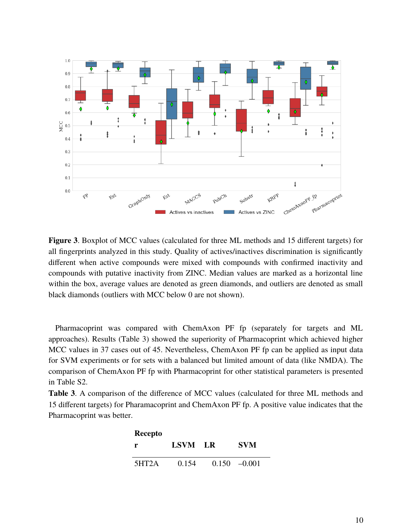

**Figure 3**. Boxplot of MCC values (calculated for three ML methods and 15 different targets) for all fingerprints analyzed in this study. Quality of actives/inactives discrimination is significantly different when active compounds were mixed with compounds with confirmed inactivity and compounds with putative inactivity from ZINC. Median values are marked as a horizontal line within the box, average values are denoted as green diamonds, and outliers are denoted as small black diamonds (outliers with MCC below 0 are not shown).

Pharmacoprint was compared with ChemAxon PF fp (separately for targets and ML approaches). Results (Table 3) showed the superiority of Pharmacoprint which achieved higher MCC values in 37 cases out of 45. Nevertheless, ChemAxon PF fp can be applied as input data for SVM experiments or for sets with a balanced but limited amount of data (like NMDA). The comparison of ChemAxon PF fp with Pharmacoprint for other statistical parameters is presented in Table S2.

**Table 3**. A comparison of the difference of MCC values (calculated for three ML methods and 15 different targets) for Pharamacoprint and ChemAxon PF fp. A positive value indicates that the Pharmacoprint was better.

| <b>Recepto</b> |         |                 |
|----------------|---------|-----------------|
| r.             | LSVM LR | <b>SVM</b>      |
| 5HT2A          | 0.154   | $0.150 - 0.001$ |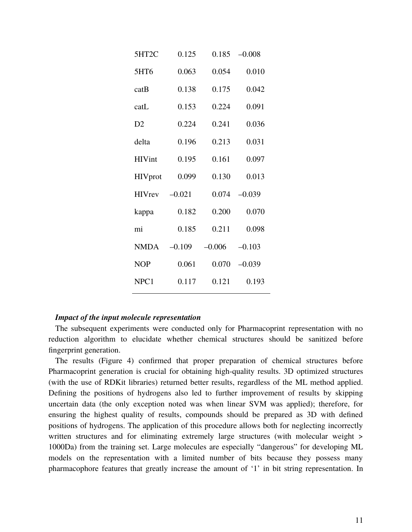| 5HT2C            | 0.125    | 0.185    | $-0.008$ |
|------------------|----------|----------|----------|
| 5HT6             | 0.063    | 0.054    | 0.010    |
| catB             | 0.138    | 0.175    | 0.042    |
| catL             | 0.153    | 0.224    | 0.091    |
| D <sub>2</sub>   | 0.224    | 0.241    | 0.036    |
| delta            | 0.196    | 0.213    | 0.031    |
| <b>HIVint</b>    | 0.195    | 0.161    | 0.097    |
| <b>HIV</b> prot  | 0.099    | 0.130    | 0.013    |
| <b>HIVrey</b>    | $-0.021$ | 0.074    | $-0.039$ |
| kappa            | 0.182    | 0.200    | 0.070    |
| mi               | 0.185    | 0.211    | 0.098    |
| <b>NMDA</b>      | $-0.109$ | $-0.006$ | $-0.103$ |
| <b>NOP</b>       | 0.061    | 0.070    | $-0.039$ |
| NPC <sub>1</sub> | 0.117    | 0.121    | 0.193    |

## *Impact of the input molecule representation*

The subsequent experiments were conducted only for Pharmacoprint representation with no reduction algorithm to elucidate whether chemical structures should be sanitized before fingerprint generation.

The results (Figure 4) confirmed that proper preparation of chemical structures before Pharmacoprint generation is crucial for obtaining high-quality results. 3D optimized structures (with the use of RDKit libraries) returned better results, regardless of the ML method applied. Defining the positions of hydrogens also led to further improvement of results by skipping uncertain data (the only exception noted was when linear SVM was applied); therefore, for ensuring the highest quality of results, compounds should be prepared as 3D with defined positions of hydrogens. The application of this procedure allows both for neglecting incorrectly written structures and for eliminating extremely large structures (with molecular weight  $>$ 1000Da) from the training set. Large molecules are especially "dangerous" for developing ML models on the representation with a limited number of bits because they possess many pharmacophore features that greatly increase the amount of '1' in bit string representation. In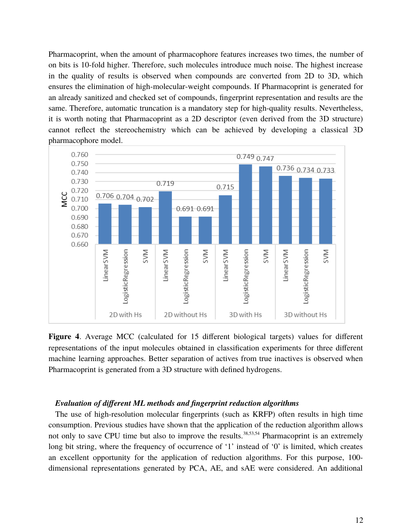Pharmacoprint, when the amount of pharmacophore features increases two times, the number of on bits is 10-fold higher. Therefore, such molecules introduce much noise. The highest increase in the quality of results is observed when compounds are converted from 2D to 3D, which ensures the elimination of high-molecular-weight compounds. If Pharmacoprint is generated for an already sanitized and checked set of compounds, fingerprint representation and results are the same. Therefore, automatic truncation is a mandatory step for high-quality results. Nevertheless, it is worth noting that Pharmacoprint as a 2D descriptor (even derived from the 3D structure) cannot reflect the stereochemistry which can be achieved by developing a classical 3D pharmacophore model.



**Figure 4**. Average MCC (calculated for 15 different biological targets) values for different representations of the input molecules obtained in classification experiments for three different machine learning approaches. Better separation of actives from true inactives is observed when Pharmacoprint is generated from a 3D structure with defined hydrogens.

## *Evaluation of different ML methods and fingerprint reduction algorithms*

The use of high-resolution molecular fingerprints (such as KRFP) often results in high time consumption. Previous studies have shown that the application of the reduction algorithm allows not only to save CPU time but also to improve the results.<sup>38,53,54</sup> Pharmacoprint is an extremely long bit string, where the frequency of occurrence of '1' instead of '0' is limited, which creates an excellent opportunity for the application of reduction algorithms. For this purpose, 100 dimensional representations generated by PCA, AE, and sAE were considered. An additional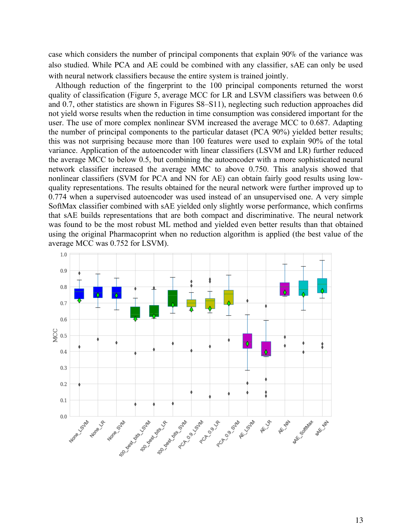case which considers the number of principal components that explain 90% of the variance was also studied. While PCA and AE could be combined with any classifier, sAE can only be used with neural network classifiers because the entire system is trained jointly.

Although reduction of the fingerprint to the 100 principal components returned the worst quality of classification (Figure 5, average MCC for LR and LSVM classifiers was between 0.6 and 0.7, other statistics are shown in Figures S8–S11), neglecting such reduction approaches did not yield worse results when the reduction in time consumption was considered important for the user. The use of more complex nonlinear SVM increased the average MCC to 0.687. Adapting the number of principal components to the particular dataset (PCA 90%) yielded better results; this was not surprising because more than 100 features were used to explain 90% of the total variance. Application of the autoencoder with linear classifiers (LSVM and LR) further reduced the average MCC to below 0.5, but combining the autoencoder with a more sophisticated neural network classifier increased the average MMC to above 0.750. This analysis showed that nonlinear classifiers (SVM for PCA and NN for AE) can obtain fairly good results using lowquality representations. The results obtained for the neural network were further improved up to 0.774 when a supervised autoencoder was used instead of an unsupervised one. A very simple SoftMax classifier combined with sAE yielded only slightly worse performance, which confirms that sAE builds representations that are both compact and discriminative. The neural network was found to be the most robust ML method and yielded even better results than that obtained using the original Pharmacoprint when no reduction algorithm is applied (the best value of the average MCC was 0.752 for LSVM).

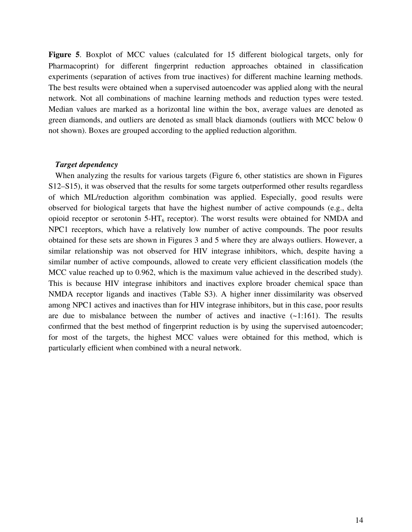**Figure 5**. Boxplot of MCC values (calculated for 15 different biological targets, only for Pharmacoprint) for different fingerprint reduction approaches obtained in classification experiments (separation of actives from true inactives) for different machine learning methods. The best results were obtained when a supervised autoencoder was applied along with the neural network. Not all combinations of machine learning methods and reduction types were tested. Median values are marked as a horizontal line within the box, average values are denoted as green diamonds, and outliers are denoted as small black diamonds (outliers with MCC below 0 not shown). Boxes are grouped according to the applied reduction algorithm.

#### *Target dependency*

When analyzing the results for various targets (Figure 6, other statistics are shown in Figures S12–S15), it was observed that the results for some targets outperformed other results regardless of which ML/reduction algorithm combination was applied. Especially, good results were observed for biological targets that have the highest number of active compounds (e.g., delta opioid receptor or serotonin  $5-HT_6$  receptor). The worst results were obtained for NMDA and NPC1 receptors, which have a relatively low number of active compounds. The poor results obtained for these sets are shown in Figures 3 and 5 where they are always outliers. However, a similar relationship was not observed for HIV integrase inhibitors, which, despite having a similar number of active compounds, allowed to create very efficient classification models (the MCC value reached up to 0.962, which is the maximum value achieved in the described study). This is because HIV integrase inhibitors and inactives explore broader chemical space than NMDA receptor ligands and inactives (Table S3). A higher inner dissimilarity was observed among NPC1 actives and inactives than for HIV integrase inhibitors, but in this case, poor results are due to misbalance between the number of actives and inactive  $(-1:161)$ . The results confirmed that the best method of fingerprint reduction is by using the supervised autoencoder; for most of the targets, the highest MCC values were obtained for this method, which is particularly efficient when combined with a neural network.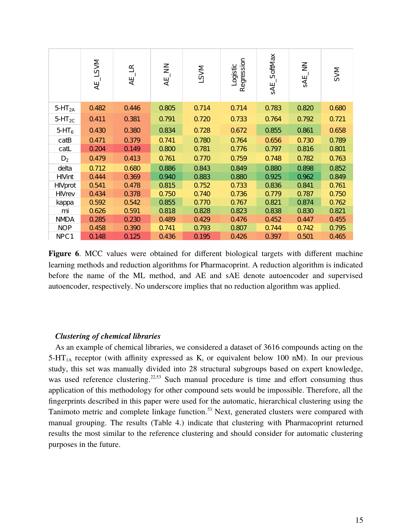|                    | AE_LSVM | $\mathbb{R}$<br>Æ | AE_NN | <b>M/S7</b> | Regression<br>Logistic | _SoftMax<br><b>SAE</b> | $\Xi$<br>SAE | <b>SVM</b> |
|--------------------|---------|-------------------|-------|-------------|------------------------|------------------------|--------------|------------|
| 5-HT <sub>2A</sub> | 0.482   | 0.446             | 0.805 | 0.714       | 0.714                  | 0.783                  | 0.820        | 0.680      |
| $5-HT_{2C}$        | 0.411   | 0.381             | 0.791 | 0.720       | 0.733                  | 0.764                  | 0.792        | 0.721      |
| $5-HT6$            | 0.430   | 0.380             | 0.834 | 0.728       | 0.672                  | 0.855                  | 0.861        | 0.658      |
| catB               | 0.471   | 0.379             | 0.741 | 0.780       | 0.764                  | 0.656                  | 0.730        | 0.789      |
| cat                | 0.204   | 0.149             | 0.800 | 0.781       | 0.776                  | 0.797                  | 0.816        | 0.801      |
| $D_2$              | 0.479   | 0.413             | 0.761 | 0.770       | 0.759                  | 0.748                  | 0.782        | 0.763      |
| delta              | 0.712   | 0.680             | 0.886 | 0.843       | 0.849                  | 0.880                  | 0.898        | 0.852      |
| <b>HIVint</b>      | 0.444   | 0.369             | 0.940 | 0.883       | 0.880                  | 0.925                  | 0.962        | 0.849      |
| <b>HIVprot</b>     | 0.541   | 0.478             | 0.815 | 0.752       | 0.733                  | 0.836                  | 0.841        | 0.761      |
| <b>HIVrev</b>      | 0.434   | 0.378             | 0.750 | 0.740       | 0.736                  | 0.779                  | 0.787        | 0.750      |
| kappa              | 0.592   | 0.542             | 0.855 | 0.770       | 0.767                  | 0.821                  | 0.874        | 0.762      |
| mi                 | 0.626   | 0.591             | 0.818 | 0.828       | 0.823                  | 0.838                  | 0.830        | 0.821      |
| <b>NMDA</b>        | 0.285   | 0.230             | 0.489 | 0.429       | 0.476                  | 0.452                  | 0.447        | 0.455      |
| <b>NOP</b>         | 0.458   | 0.390             | 0.741 | 0.793       | 0.807                  | 0.744                  | 0.742        | 0.795      |
| NPC1               | 0.148   | 0.125             | 0.436 | 0.195       | 0.426                  | 0.397                  | 0.501        | 0.465      |

**Figure 6**. MCC values were obtained for different biological targets with different machine learning methods and reduction algorithms for Pharmacoprint. A reduction algorithm is indicated before the name of the ML method, and AE and sAE denote autoencoder and supervised autoencoder, respectively. No underscore implies that no reduction algorithm was applied.

## *Clustering of chemical libraries*

As an example of chemical libraries, we considered a dataset of 3616 compounds acting on the 5-HT<sub>1A</sub> receptor (with affinity expressed as  $K_i$  or equivalent below 100 nM). In our previous study, this set was manually divided into 28 structural subgroups based on expert knowledge, was used reference clustering.<sup>22,53</sup> Such manual procedure is time and effort consuming thus application of this methodology for other compound sets would be impossible. Therefore, all the fingerprints described in this paper were used for the automatic, hierarchical clustering using the Tanimoto metric and complete linkage function.<sup>53</sup> Next, generated clusters were compared with manual grouping. The results (Table 4.) indicate that clustering with Pharmacoprint returned results the most similar to the reference clustering and should consider for automatic clustering purposes in the future.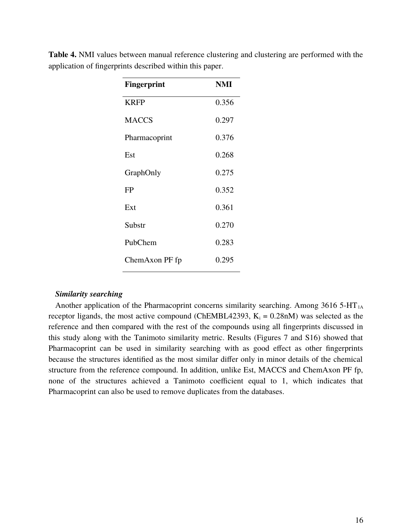| <b>Fingerprint</b> | <b>NMI</b> |
|--------------------|------------|
| <b>KRFP</b>        | 0.356      |
| <b>MACCS</b>       | 0.297      |
| Pharmacoprint      | 0.376      |
| Est                | 0.268      |
| GraphOnly          | 0.275      |
| <b>FP</b>          | 0.352      |
| Ext                | 0.361      |
| Substr             | 0.270      |
| PubChem            | 0.283      |
| ChemAxon PF fp     | 0.295      |

**Table 4.** NMI values between manual reference clustering and clustering are performed with the application of fingerprints described within this paper.

## *Similarity searching*

Another application of the Pharmacoprint concerns similarity searching. Among  $3616$  5-HT<sub>1A</sub> receptor ligands, the most active compound (ChEMBL42393,  $K_i = 0.28$ nM) was selected as the reference and then compared with the rest of the compounds using all fingerprints discussed in this study along with the Tanimoto similarity metric. Results (Figures 7 and S16) showed that Pharmacoprint can be used in similarity searching with as good effect as other fingerprints because the structures identified as the most similar differ only in minor details of the chemical structure from the reference compound. In addition, unlike Est, MACCS and ChemAxon PF fp, none of the structures achieved a Tanimoto coefficient equal to 1, which indicates that Pharmacoprint can also be used to remove duplicates from the databases.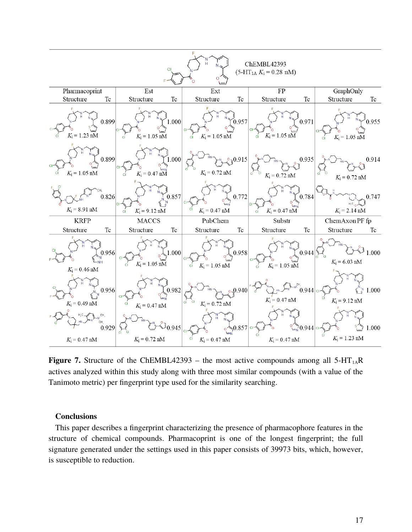

**Figure 7.** Structure of the ChEMBL42393 – the most active compounds among all  $5-HT<sub>1A</sub>R$ actives analyzed within this study along with three most similar compounds (with a value of the Tanimoto metric) per fingerprint type used for the similarity searching.

#### **Conclusions**

This paper describes a fingerprint characterizing the presence of pharmacophore features in the structure of chemical compounds. Pharmacoprint is one of the longest fingerprint; the full signature generated under the settings used in this paper consists of 39973 bits, which, however, is susceptible to reduction.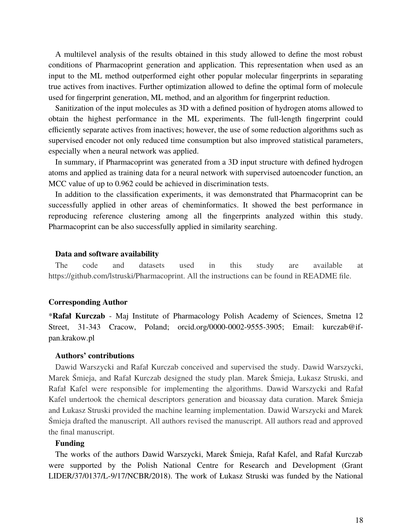A multilevel analysis of the results obtained in this study allowed to define the most robust conditions of Pharmacoprint generation and application. This representation when used as an input to the ML method outperformed eight other popular molecular fingerprints in separating true actives from inactives. Further optimization allowed to define the optimal form of molecule used for fingerprint generation, ML method, and an algorithm for fingerprint reduction.

Sanitization of the input molecules as 3D with a defined position of hydrogen atoms allowed to obtain the highest performance in the ML experiments. The full-length fingerprint could efficiently separate actives from inactives; however, the use of some reduction algorithms such as supervised encoder not only reduced time consumption but also improved statistical parameters, especially when a neural network was applied.

In summary, if Pharmacoprint was generated from a 3D input structure with defined hydrogen atoms and applied as training data for a neural network with supervised autoencoder function, an MCC value of up to 0.962 could be achieved in discrimination tests.

In addition to the classification experiments, it was demonstrated that Pharmacoprint can be successfully applied in other areas of cheminformatics. It showed the best performance in reproducing reference clustering among all the fingerprints analyzed within this study. Pharmacoprint can be also successfully applied in similarity searching.

#### **Data and software availability**

The code and datasets used in this study are available at https://github.com/lstruski/Pharmacoprint. All the instructions can be found in README file.

## **Corresponding Author**

\***Rafał Kurczab** - Maj Institute of Pharmacology Polish Academy of Sciences, Smetna 12 Street, 31-343 Cracow, Poland; orcid.org/0000-0002-9555-3905; Email: kurczab@ifpan.krakow.pl

#### **Authors' contributions**

Dawid Warszycki and Rafał Kurczab conceived and supervised the study. Dawid Warszycki, Marek Śmieja, and Rafał Kurczab designed the study plan. Marek Śmieja, Łukasz Struski, and Rafał Kafel were responsible for implementing the algorithms. Dawid Warszycki and Rafał Kafel undertook the chemical descriptors generation and bioassay data curation. Marek Śmieja and Łukasz Struski provided the machine learning implementation. Dawid Warszycki and Marek Śmieja drafted the manuscript. All authors revised the manuscript. All authors read and approved the final manuscript.

## **Funding**

The works of the authors Dawid Warszycki, Marek Śmieja, Rafał Kafel, and Rafał Kurczab were supported by the Polish National Centre for Research and Development (Grant LIDER/37/0137/L-9/17/NCBR/2018). The work of Łukasz Struski was funded by the National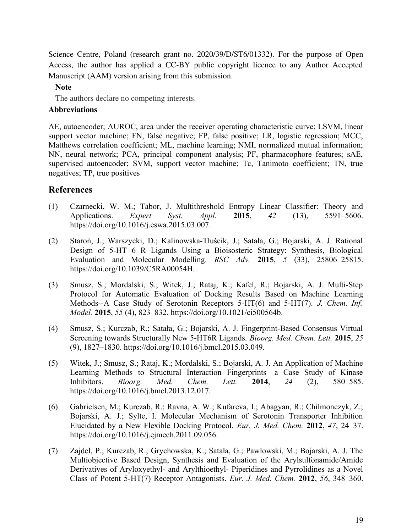Science Centre, Poland (research grant no. 2020/39/D/ST6/01332). For the purpose of Open Access, the author has applied a CC-BY public copyright licence to any Author Accepted Manuscript (AAM) version arising from this submission.

## **Note**

The authors declare no competing interests.

## **Abbreviations**

AE, autoencoder; AUROC, area under the receiver operating characteristic curve; LSVM, linear support vector machine; FN, false negative; FP, false positive; LR, logistic regression; MCC, Matthews correlation coefficient; ML, machine learning; NMI, normalized mutual information; NN, neural network; PCA, principal component analysis; PF, pharmacophore features; sAE, supervised autoencoder; SVM, support vector machine; Tc, Tanimoto coefficient; TN, true negatives; TP, true positives

# **References**

- (1) Czarnecki, W. M.; Tabor, J. Multithreshold Entropy Linear Classifier: Theory and Applications. *Expert Syst. Appl.* **2015**, *42* (13), 5591–5606. https://doi.org/10.1016/j.eswa.2015.03.007.
- (2) Staroń, J.; Warszycki, D.; Kalinowska-Tłuścik, J.; Satała, G.; Bojarski, A. J. Rational Design of 5-HT 6 R Ligands Using a Bioisosteric Strategy: Synthesis, Biological Evaluation and Molecular Modelling. *RSC Adv.* **2015**, *5* (33), 25806–25815. https://doi.org/10.1039/C5RA00054H.
- (3) Smusz, S.; Mordalski, S.; Witek, J.; Rataj, K.; Kafel, R.; Bojarski, A. J. Multi-Step Protocol for Automatic Evaluation of Docking Results Based on Machine Learning Methods--A Case Study of Serotonin Receptors 5-HT(6) and 5-HT(7). *J. Chem. Inf. Model.* **2015**, *55* (4), 823–832. https://doi.org/10.1021/ci500564b.
- (4) Smusz, S.; Kurczab, R.; Satała, G.; Bojarski, A. J. Fingerprint-Based Consensus Virtual Screening towards Structurally New 5-HT6R Ligands. *Bioorg. Med. Chem. Lett.* **2015**, *25* (9), 1827–1830. https://doi.org/10.1016/j.bmcl.2015.03.049.
- (5) Witek, J.; Smusz, S.; Rataj, K.; Mordalski, S.; Bojarski, A. J. An Application of Machine Learning Methods to Structural Interaction Fingerprints—a Case Study of Kinase Inhibitors. *Bioorg. Med. Chem. Lett.* **2014**, *24* (2), 580–585. https://doi.org/10.1016/j.bmcl.2013.12.017.
- (6) Gabrielsen, M.; Kurczab, R.; Ravna, A. W.; Kufareva, I.; Abagyan, R.; Chilmonczyk, Z.; Bojarski, A. J.; Sylte, I. Molecular Mechanism of Serotonin Transporter Inhibition Elucidated by a New Flexible Docking Protocol. *Eur. J. Med. Chem.* **2012**, *47*, 24–37. https://doi.org/10.1016/j.ejmech.2011.09.056.
- (7) Zajdel, P.; Kurczab, R.; Grychowska, K.; Satała, G.; Pawłowski, M.; Bojarski, A. J. The Multiobjective Based Design, Synthesis and Evaluation of the Arylsulfonamide/Amide Derivatives of Aryloxyethyl- and Arylthioethyl- Piperidines and Pyrrolidines as a Novel Class of Potent 5-HT(7) Receptor Antagonists. *Eur. J. Med. Chem.* **2012**, *56*, 348–360.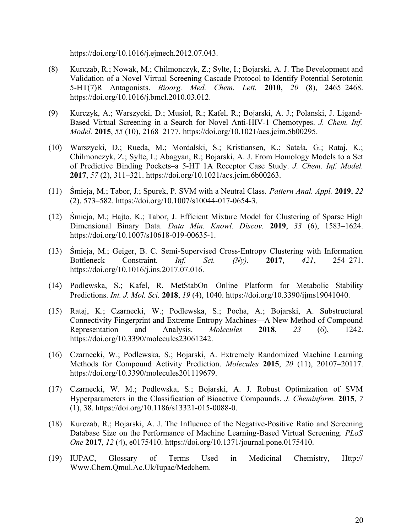https://doi.org/10.1016/j.ejmech.2012.07.043.

- (8) Kurczab, R.; Nowak, M.; Chilmonczyk, Z.; Sylte, I.; Bojarski, A. J. The Development and Validation of a Novel Virtual Screening Cascade Protocol to Identify Potential Serotonin 5-HT(7)R Antagonists. *Bioorg. Med. Chem. Lett.* **2010**, *20* (8), 2465–2468. https://doi.org/10.1016/j.bmcl.2010.03.012.
- (9) Kurczyk, A.; Warszycki, D.; Musiol, R.; Kafel, R.; Bojarski, A. J.; Polanski, J. Ligand-Based Virtual Screening in a Search for Novel Anti-HIV-1 Chemotypes. *J. Chem. Inf. Model.* **2015**, *55* (10), 2168–2177. https://doi.org/10.1021/acs.jcim.5b00295.
- (10) Warszycki, D.; Rueda, M.; Mordalski, S.; Kristiansen, K.; Satała, G.; Rataj, K.; Chilmonczyk, Z.; Sylte, I.; Abagyan, R.; Bojarski, A. J. From Homology Models to a Set of Predictive Binding Pockets–a 5-HT 1A Receptor Case Study. *J. Chem. Inf. Model.* **2017**, *57* (2), 311–321. https://doi.org/10.1021/acs.jcim.6b00263.
- (11) Śmieja, M.; Tabor, J.; Spurek, P. SVM with a Neutral Class. *Pattern Anal. Appl.* **2019**, *22* (2), 573–582. https://doi.org/10.1007/s10044-017-0654-3.
- (12) Śmieja, M.; Hajto, K.; Tabor, J. Efficient Mixture Model for Clustering of Sparse High Dimensional Binary Data. *Data Min. Knowl. Discov.* **2019**, *33* (6), 1583–1624. https://doi.org/10.1007/s10618-019-00635-1.
- (13) Śmieja, M.; Geiger, B. C. Semi-Supervised Cross-Entropy Clustering with Information Bottleneck Constraint. *Inf. Sci. (Ny).* **2017**, *421*, 254–271. https://doi.org/10.1016/j.ins.2017.07.016.
- (14) Podlewska, S.; Kafel, R. MetStabOn—Online Platform for Metabolic Stability Predictions. *Int. J. Mol. Sci.* **2018**, *19* (4), 1040. https://doi.org/10.3390/ijms19041040.
- (15) Rataj, K.; Czarnecki, W.; Podlewska, S.; Pocha, A.; Bojarski, A. Substructural Connectivity Fingerprint and Extreme Entropy Machines—A New Method of Compound Representation and Analysis. *Molecules* **2018**, *23* (6), 1242. https://doi.org/10.3390/molecules23061242.
- (16) Czarnecki, W.; Podlewska, S.; Bojarski, A. Extremely Randomized Machine Learning Methods for Compound Activity Prediction. *Molecules* **2015**, *20* (11), 20107–20117. https://doi.org/10.3390/molecules201119679.
- (17) Czarnecki, W. M.; Podlewska, S.; Bojarski, A. J. Robust Optimization of SVM Hyperparameters in the Classification of Bioactive Compounds. *J. Cheminform.* **2015**, *7* (1), 38. https://doi.org/10.1186/s13321-015-0088-0.
- (18) Kurczab, R.; Bojarski, A. J. The Influence of the Negative-Positive Ratio and Screening Database Size on the Performance of Machine Learning-Based Virtual Screening. *PLoS One* **2017**, *12* (4), e0175410. https://doi.org/10.1371/journal.pone.0175410.
- (19) IUPAC, Glossary of Terms Used in Medicinal Chemistry, Http:// Www.Chem.Qmul.Ac.Uk/Iupac/Medchem.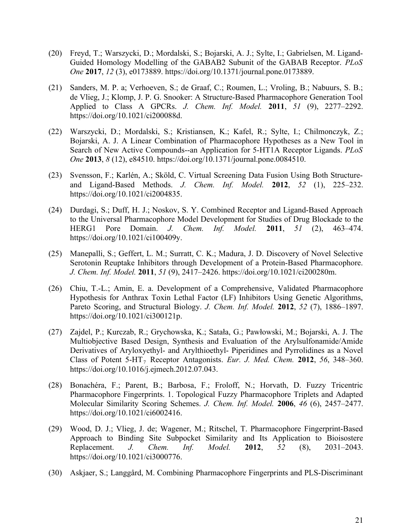- (20) Freyd, T.; Warszycki, D.; Mordalski, S.; Bojarski, A. J.; Sylte, I.; Gabrielsen, M. Ligand-Guided Homology Modelling of the GABAB2 Subunit of the GABAB Receptor. *PLoS One* **2017**, *12* (3), e0173889. https://doi.org/10.1371/journal.pone.0173889.
- (21) Sanders, M. P. a; Verhoeven, S.; de Graaf, C.; Roumen, L.; Vroling, B.; Nabuurs, S. B.; de Vlieg, J.; Klomp, J. P. G. Snooker: A Structure-Based Pharmacophore Generation Tool Applied to Class A GPCRs. *J. Chem. Inf. Model.* **2011**, *51* (9), 2277–2292. https://doi.org/10.1021/ci200088d.
- (22) Warszycki, D.; Mordalski, S.; Kristiansen, K.; Kafel, R.; Sylte, I.; Chilmonczyk, Z.; Bojarski, A. J. A Linear Combination of Pharmacophore Hypotheses as a New Tool in Search of New Active Compounds--an Application for 5-HT1A Receptor Ligands. *PLoS One* **2013**, *8* (12), e84510. https://doi.org/10.1371/journal.pone.0084510.
- (23) Svensson, F.; Karlén, A.; Sköld, C. Virtual Screening Data Fusion Using Both Structureand Ligand-Based Methods. *J. Chem. Inf. Model.* **2012**, *52* (1), 225–232. https://doi.org/10.1021/ci2004835.
- (24) Durdagi, S.; Duff, H. J.; Noskov, S. Y. Combined Receptor and Ligand-Based Approach to the Universal Pharmacophore Model Development for Studies of Drug Blockade to the HERG1 Pore Domain. *J. Chem. Inf. Model.* **2011**, *51* (2), 463–474. https://doi.org/10.1021/ci100409y.
- (25) Manepalli, S.; Geffert, L. M.; Surratt, C. K.; Madura, J. D. Discovery of Novel Selective Serotonin Reuptake Inhibitors through Development of a Protein-Based Pharmacophore. *J. Chem. Inf. Model.* **2011**, *51* (9), 2417–2426. https://doi.org/10.1021/ci200280m.
- (26) Chiu, T.-L.; Amin, E. a. Development of a Comprehensive, Validated Pharmacophore Hypothesis for Anthrax Toxin Lethal Factor (LF) Inhibitors Using Genetic Algorithms, Pareto Scoring, and Structural Biology. *J. Chem. Inf. Model.* **2012**, *52* (7), 1886–1897. https://doi.org/10.1021/ci300121p.
- (27) Zajdel, P.; Kurczab, R.; Grychowska, K.; Satała, G.; Pawłowski, M.; Bojarski, A. J. The Multiobjective Based Design, Synthesis and Evaluation of the Arylsulfonamide/Amide Derivatives of Aryloxyethyl- and Arylthioethyl- Piperidines and Pyrrolidines as a Novel Class of Potent 5-HT<sub>7</sub> Receptor Antagonists. *Eur. J. Med. Chem.* 2012, 56, 348–360. https://doi.org/10.1016/j.ejmech.2012.07.043.
- (28) Bonachéra, F.; Parent, B.; Barbosa, F.; Froloff, N.; Horvath, D. Fuzzy Tricentric Pharmacophore Fingerprints. 1. Topological Fuzzy Pharmacophore Triplets and Adapted Molecular Similarity Scoring Schemes. *J. Chem. Inf. Model.* **2006**, *46* (6), 2457–2477. https://doi.org/10.1021/ci6002416.
- (29) Wood, D. J.; Vlieg, J. de; Wagener, M.; Ritschel, T. Pharmacophore Fingerprint-Based Approach to Binding Site Subpocket Similarity and Its Application to Bioisostere Replacement. *J. Chem. Inf. Model.* **2012**, *52* (8), 2031–2043. https://doi.org/10.1021/ci3000776.
- (30) Askjaer, S.; Langgård, M. Combining Pharmacophore Fingerprints and PLS-Discriminant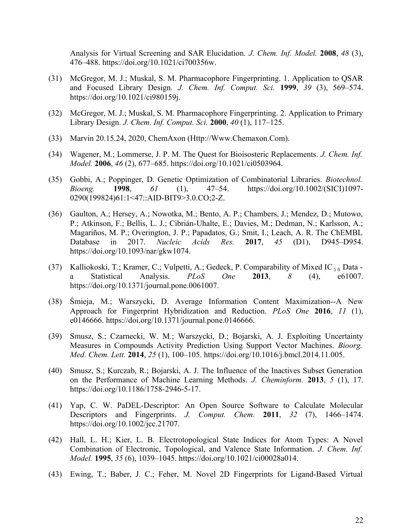Analysis for Virtual Screening and SAR Elucidation. *J. Chem. Inf. Model.* **2008**, *48* (3), 476–488. https://doi.org/10.1021/ci700356w.

- (31) McGregor, M. J.; Muskal, S. M. Pharmacophore Fingerprinting. 1. Application to QSAR and Focused Library Design. *J. Chem. Inf. Comput. Sci.* **1999**, *39* (3), 569–574. https://doi.org/10.1021/ci980159j.
- (32) McGregor, M. J.; Muskal, S. M. Pharmacophore Fingerprinting. 2. Application to Primary Library Design. *J. Chem. Inf. Comput. Sci.* **2000**, *40* (1), 117–125.
- (33) Marvin 20.15.24, 2020, ChemAxon (Http://Www.Chemaxon.Com).
- (34) Wagener, M.; Lommerse, J. P. M. The Quest for Bioisosteric Replacements. *J. Chem. Inf. Model.* **2006**, *46* (2), 677–685. https://doi.org/10.1021/ci0503964.
- (35) Gobbi, A.; Poppinger, D. Genetic Optimization of Combinatorial Libraries. *Biotechnol. Bioeng.* **1998**, *61* (1), 47–54. https://doi.org/10.1002/(SICI)1097- 0290(199824)61:1<47::AID-BIT9>3.0.CO;2-Z.
- (36) Gaulton, A.; Hersey, A.; Nowotka, M.; Bento, A. P.; Chambers, J.; Mendez, D.; Mutowo, P.; Atkinson, F.; Bellis, L. J.; Cibrián-Uhalte, E.; Davies, M.; Dedman, N.; Karlsson, A.; Magariños, M. P.; Overington, J. P.; Papadatos, G.; Smit, I.; Leach, A. R. The ChEMBL Database in 2017. *Nucleic Acids Res.* **2017**, *45* (D1), D945–D954. https://doi.org/10.1093/nar/gkw1074.
- (37) Kalliokoski, T.; Kramer, C.; Vulpetti, A.; Gedeck, P. Comparability of Mixed IC  $_{5.0}$  Data a Statistical Analysis. *PLoS One* **2013**, *8* (4), e61007. https://doi.org/10.1371/journal.pone.0061007.
- (38) Śmieja, M.; Warszycki, D. Average Information Content Maximization--A New Approach for Fingerprint Hybridization and Reduction. *PLoS One* **2016**, *11* (1), e0146666. https://doi.org/10.1371/journal.pone.0146666.
- (39) Smusz, S.; Czarnecki, W. M.; Warszycki, D.; Bojarski, A. J. Exploiting Uncertainty Measures in Compounds Activity Prediction Using Support Vector Machines. *Bioorg. Med. Chem. Lett.* **2014**, *25* (1), 100–105. https://doi.org/10.1016/j.bmcl.2014.11.005.
- (40) Smusz, S.; Kurczab, R.; Bojarski, A. J. The Influence of the Inactives Subset Generation on the Performance of Machine Learning Methods. *J. Cheminform.* **2013**, *5* (1), 17. https://doi.org/10.1186/1758-2946-5-17.
- (41) Yap, C. W. PaDEL-Descriptor: An Open Source Software to Calculate Molecular Descriptors and Fingerprints. *J. Comput. Chem.* **2011**, *32* (7), 1466–1474. https://doi.org/10.1002/jcc.21707.
- (42) Hall, L. H.; Kier, L. B. Electrotopological State Indices for Atom Types: A Novel Combination of Electronic, Topological, and Valence State Information. *J. Chem. Inf. Model.* **1995**, *35* (6), 1039–1045. https://doi.org/10.1021/ci00028a014.
- (43) Ewing, T.; Baber, J. C.; Feher, M. Novel 2D Fingerprints for Ligand-Based Virtual